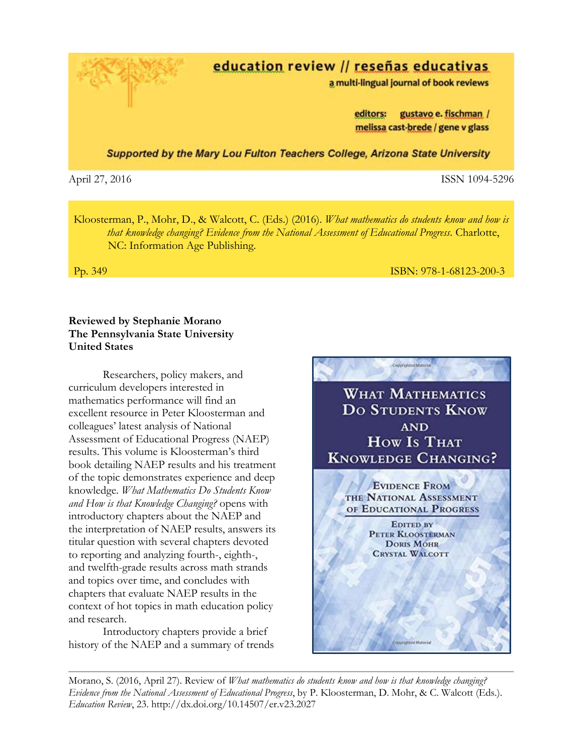education review // reseñas educativas

a multi-lingual journal of book reviews

editors: gustavo e. fischman / melissa cast-brede / gene v glass

Supported by the Mary Lou Fulton Teachers College, Arizona State University

April 27, 2016 ISSN 1094-5296

Kloosterman, P., Mohr, D., & Walcott, C. (Eds.) (2016). *What mathematics do students know and how is that knowledge changing? Evidence from the National Assessment of Educational Progress*. Charlotte, NC: Information Age Publishing.

## Pp. 349 ISBN: 978-1-68123-200-3

# **Reviewed by Stephanie Morano The Pennsylvania State University United States**

Researchers, policy makers, and curriculum developers interested in mathematics performance will find an excellent resource in Peter Kloosterman and colleagues' latest analysis of National Assessment of Educational Progress (NAEP) results. This volume is Kloosterman's third book detailing NAEP results and his treatment of the topic demonstrates experience and deep knowledge. *What Mathematics Do Students Know and How is that Knowledge Changing?* opens with introductory chapters about the NAEP and the interpretation of NAEP results, answers its titular question with several chapters devoted to reporting and analyzing fourth-, eighth-, and twelfth-grade results across math strands and topics over time, and concludes with chapters that evaluate NAEP results in the context of hot topics in math education policy and research.

Introductory chapters provide a brief history of the NAEP and a summary of trends



Morano, S. (2016, April 27). Review of *What mathematics do students know and how is that knowledge changing? Evidence from the National Assessment of Educational Progress*, by P. Kloosterman, D. Mohr, & C. Walcott (Eds.). *Education Review*, 23. http://dx.doi.org/10.14507/er.v23.2027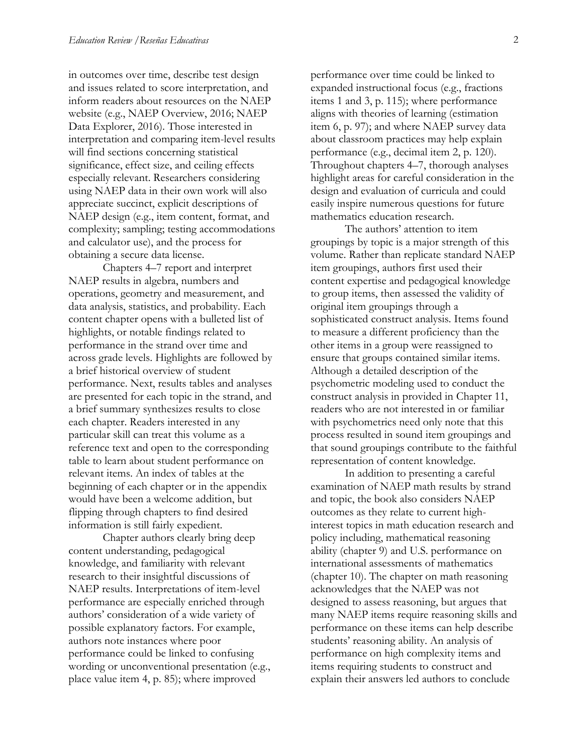in outcomes over time, describe test design and issues related to score interpretation, and inform readers about resources on the NAEP website (e.g., NAEP Overview, 2016; NAEP Data Explorer, 2016). Those interested in interpretation and comparing item-level results will find sections concerning statistical significance, effect size, and ceiling effects especially relevant. Researchers considering using NAEP data in their own work will also appreciate succinct, explicit descriptions of NAEP design (e.g., item content, format, and complexity; sampling; testing accommodations and calculator use), and the process for obtaining a secure data license.

Chapters 4–7 report and interpret NAEP results in algebra, numbers and operations, geometry and measurement, and data analysis, statistics, and probability. Each content chapter opens with a bulleted list of highlights, or notable findings related to performance in the strand over time and across grade levels. Highlights are followed by a brief historical overview of student performance. Next, results tables and analyses are presented for each topic in the strand, and a brief summary synthesizes results to close each chapter. Readers interested in any particular skill can treat this volume as a reference text and open to the corresponding table to learn about student performance on relevant items. An index of tables at the beginning of each chapter or in the appendix would have been a welcome addition, but flipping through chapters to find desired information is still fairly expedient.

Chapter authors clearly bring deep content understanding, pedagogical knowledge, and familiarity with relevant research to their insightful discussions of NAEP results. Interpretations of item-level performance are especially enriched through authors' consideration of a wide variety of possible explanatory factors. For example, authors note instances where poor performance could be linked to confusing wording or unconventional presentation (e.g., place value item 4, p. 85); where improved

performance over time could be linked to expanded instructional focus (e.g., fractions items 1 and 3, p. 115); where performance aligns with theories of learning (estimation item 6, p. 97); and where NAEP survey data about classroom practices may help explain performance (e.g., decimal item 2, p. 120). Throughout chapters 4–7, thorough analyses highlight areas for careful consideration in the design and evaluation of curricula and could easily inspire numerous questions for future mathematics education research.

The authors' attention to item groupings by topic is a major strength of this volume. Rather than replicate standard NAEP item groupings, authors first used their content expertise and pedagogical knowledge to group items, then assessed the validity of original item groupings through a sophisticated construct analysis. Items found to measure a different proficiency than the other items in a group were reassigned to ensure that groups contained similar items. Although a detailed description of the psychometric modeling used to conduct the construct analysis in provided in Chapter 11, readers who are not interested in or familiar with psychometrics need only note that this process resulted in sound item groupings and that sound groupings contribute to the faithful representation of content knowledge.

In addition to presenting a careful examination of NAEP math results by strand and topic, the book also considers NAEP outcomes as they relate to current highinterest topics in math education research and policy including, mathematical reasoning ability (chapter 9) and U.S. performance on international assessments of mathematics (chapter 10). The chapter on math reasoning acknowledges that the NAEP was not designed to assess reasoning, but argues that many NAEP items require reasoning skills and performance on these items can help describe students' reasoning ability. An analysis of performance on high complexity items and items requiring students to construct and explain their answers led authors to conclude